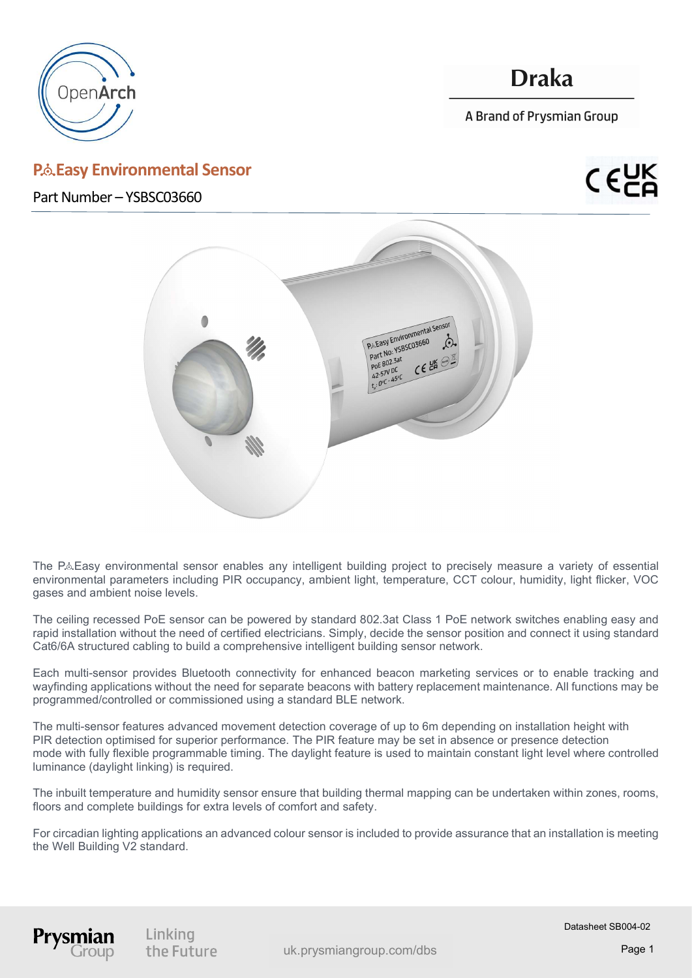

j

## P.& Easy Environmental Sensor

## **Draka**

A Brand of Prysmian Group

Part Number – YSBSC03660



The P&Easy environmental sensor enables any intelligent building project to precisely measure a variety of essential environmental parameters including PIR occupancy, ambient light, temperature, CCT colour, humidity, light flicker, VOC gases and ambient noise levels.

The ceiling recessed PoE sensor can be powered by standard 802.3at Class 1 PoE network switches enabling easy and rapid installation without the need of certified electricians. Simply, decide the sensor position and connect it using standard Cat6/6A structured cabling to build a comprehensive intelligent building sensor network.

Each multi-sensor provides Bluetooth connectivity for enhanced beacon marketing services or to enable tracking and wayfinding applications without the need for separate beacons with battery replacement maintenance. All functions may be programmed/controlled or commissioned using a standard BLE network.

The multi-sensor features advanced movement detection coverage of up to 6m depending on installation height with PIR detection optimised for superior performance. The PIR feature may be set in absence or presence detection mode with fully flexible programmable timing. The daylight feature is used to maintain constant light level where controlled luminance (daylight linking) is required.

The inbuilt temperature and humidity sensor ensure that building thermal mapping can be undertaken within zones, rooms, floors and complete buildings for extra levels of comfort and safety.

For circadian lighting applications an advanced colour sensor is included to provide assurance that an installation is meeting the Well Building V2 standard.



Linking the Future

uk.prysmiangroup.com/dbs Page 1